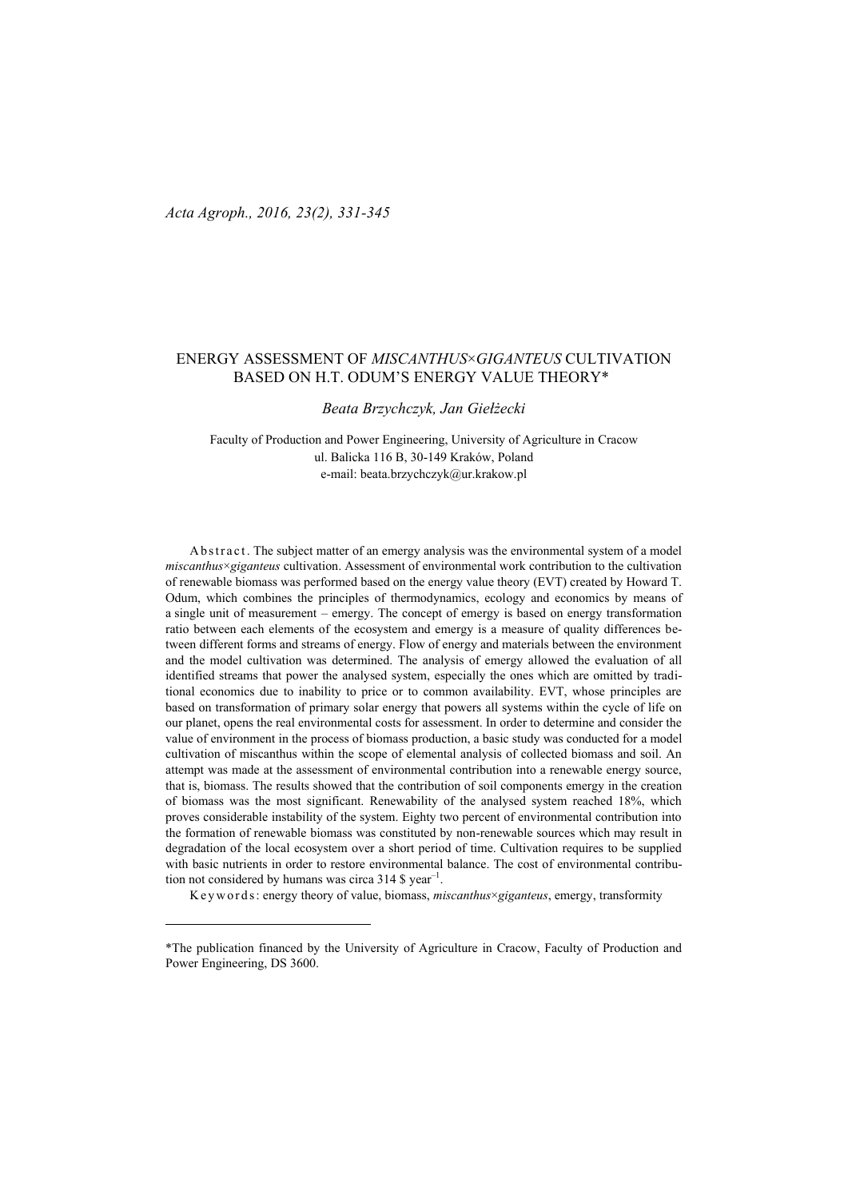## ENERGY ASSESSMENT OF *MISCANTHUS*×*GIGANTEUS* CULTIVATION BASED ON H.T. ODUM'S ENERGY VALUE THEORY\*

## *Beata Brzychczyk, Jan Giełżecki*

Faculty of Production and Power Engineering, University of Agriculture in Cracow ul. Balicka 116 B, 30-149 Kraków, Poland e-mail: beata.brzychczyk@ur.krakow.pl

Abstract. The subject matter of an emergy analysis was the environmental system of a model *miscanthus*×*giganteus* cultivation. Assessment of environmental work contribution to the cultivation of renewable biomass was performed based on the energy value theory (EVT) created by Howard T. Odum, which combines the principles of thermodynamics, ecology and economics by means of a single unit of measurement – emergy. The concept of emergy is based on energy transformation ratio between each elements of the ecosystem and emergy is a measure of quality differences between different forms and streams of energy. Flow of energy and materials between the environment and the model cultivation was determined. The analysis of emergy allowed the evaluation of all identified streams that power the analysed system, especially the ones which are omitted by traditional economics due to inability to price or to common availability. EVT, whose principles are based on transformation of primary solar energy that powers all systems within the cycle of life on our planet, opens the real environmental costs for assessment. In order to determine and consider the value of environment in the process of biomass production, a basic study was conducted for a model cultivation of miscanthus within the scope of elemental analysis of collected biomass and soil. An attempt was made at the assessment of environmental contribution into a renewable energy source, that is, biomass. The results showed that the contribution of soil components emergy in the creation of biomass was the most significant. Renewability of the analysed system reached 18%, which proves considerable instability of the system. Eighty two percent of environmental contribution into the formation of renewable biomass was constituted by non-renewable sources which may result in degradation of the local ecosystem over a short period of time. Cultivation requires to be supplied with basic nutrients in order to restore environmental balance. The cost of environmental contribution not considered by humans was circa  $314$  \$ year<sup>-1</sup>.

K e y w or ds : energy theory of value, biomass, miscanthus×giganteus, emergy, transformity

<sup>\*</sup>The publication financed by the University of Agriculture in Cracow, Faculty of Production and Power Engineering, DS 3600.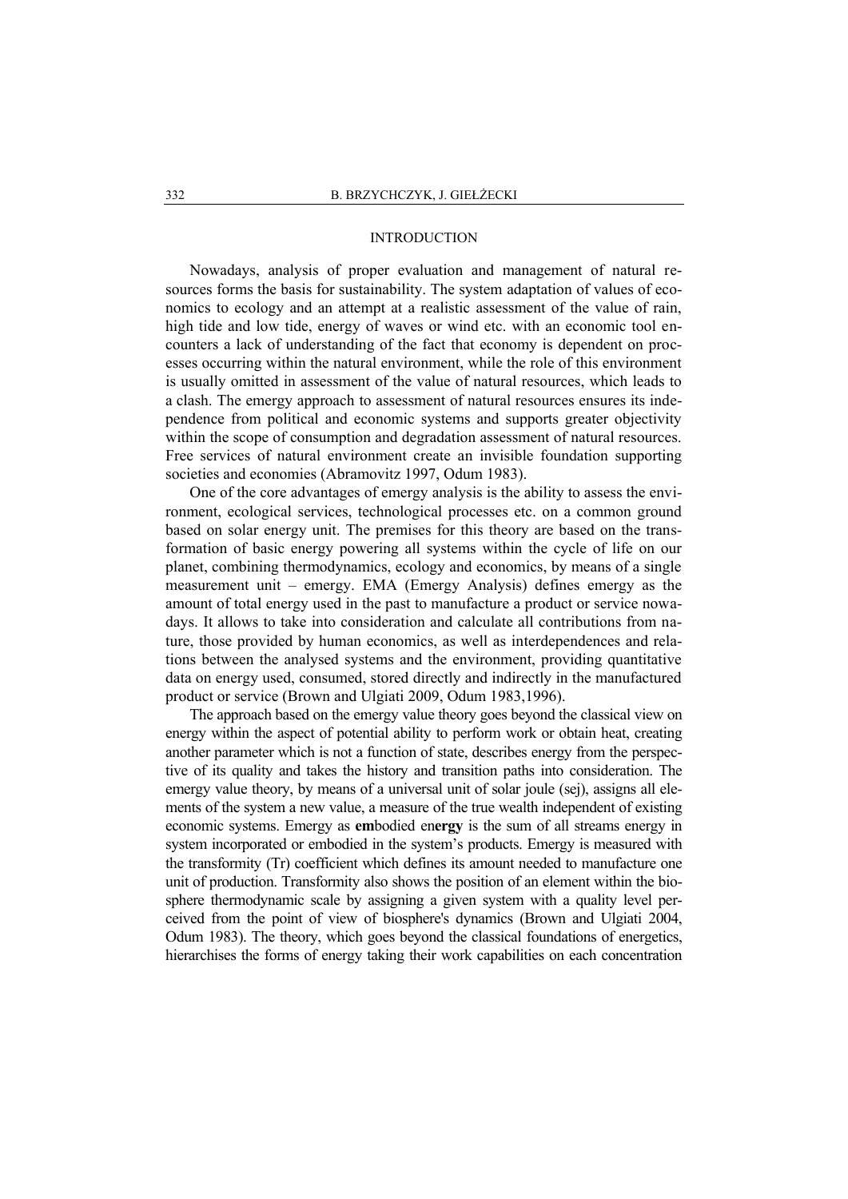### INTRODUCTION

Nowadays, analysis of proper evaluation and management of natural resources forms the basis for sustainability. The system adaptation of values of economics to ecology and an attempt at a realistic assessment of the value of rain, high tide and low tide, energy of waves or wind etc. with an economic tool encounters a lack of understanding of the fact that economy is dependent on processes occurring within the natural environment, while the role of this environment is usually omitted in assessment of the value of natural resources, which leads to a clash. The emergy approach to assessment of natural resources ensures its independence from political and economic systems and supports greater objectivity within the scope of consumption and degradation assessment of natural resources. Free services of natural environment create an invisible foundation supporting societies and economies (Abramovitz 1997, Odum 1983).

One of the core advantages of emergy analysis is the ability to assess the environment, ecological services, technological processes etc. on a common ground based on solar energy unit. The premises for this theory are based on the transformation of basic energy powering all systems within the cycle of life on our planet, combining thermodynamics, ecology and economics, by means of a single measurement unit – emergy. EMA (Emergy Analysis) defines emergy as the amount of total energy used in the past to manufacture a product or service nowadays. It allows to take into consideration and calculate all contributions from nature, those provided by human economics, as well as interdependences and relations between the analysed systems and the environment, providing quantitative data on energy used, consumed, stored directly and indirectly in the manufactured product or service (Brown and Ulgiati 2009, Odum 1983,1996).

The approach based on the emergy value theory goes beyond the classical view on energy within the aspect of potential ability to perform work or obtain heat, creating another parameter which is not a function of state, describes energy from the perspective of its quality and takes the history and transition paths into consideration. The emergy value theory, by means of a universal unit of solar joule (sej), assigns all elements of the system a new value, a measure of the true wealth independent of existing economic systems. Emergy as **em**bodied en**ergy** is the sum of all streams energy in system incorporated or embodied in the system's products. Emergy is measured with the transformity (Tr) coefficient which defines its amount needed to manufacture one unit of production. Transformity also shows the position of an element within the biosphere thermodynamic scale by assigning a given system with a quality level perceived from the point of view of biosphere's dynamics (Brown and Ulgiati 2004, Odum 1983). The theory, which goes beyond the classical foundations of energetics, hierarchises the forms of energy taking their work capabilities on each concentration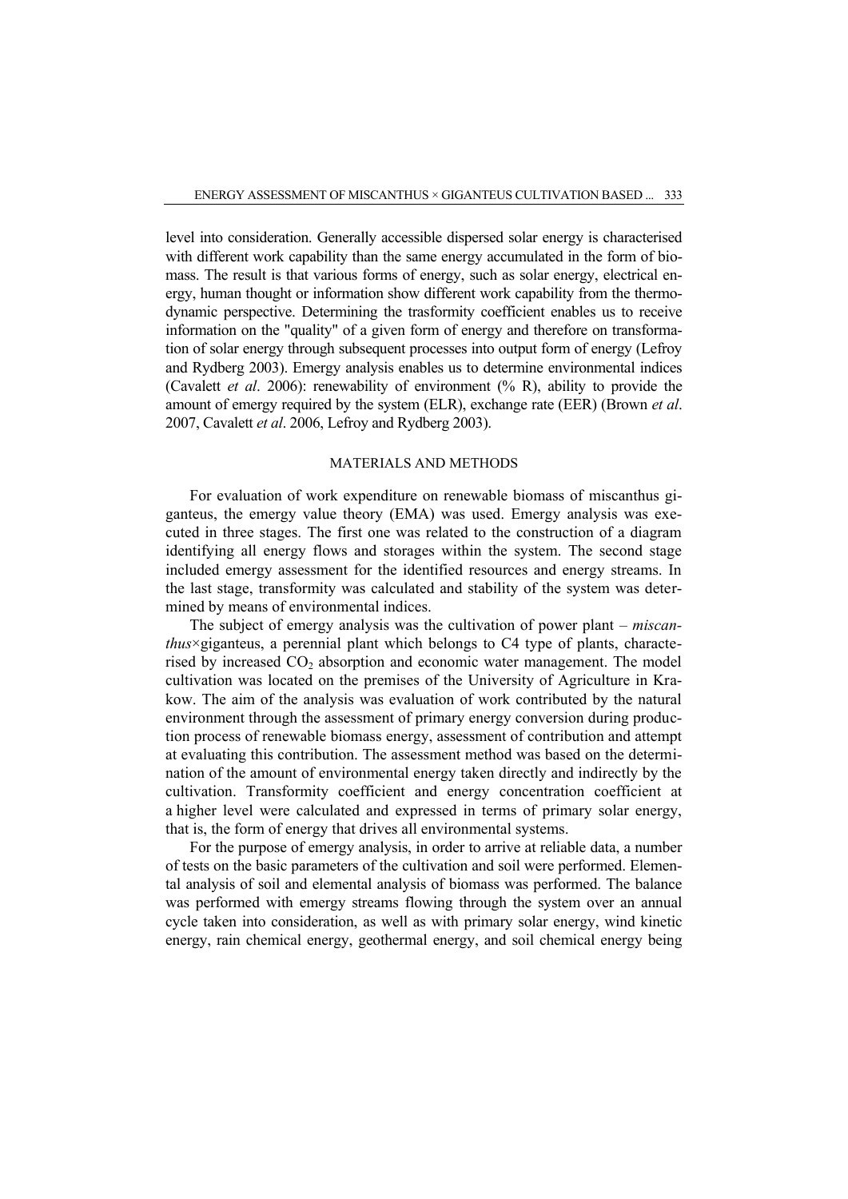level into consideration. Generally accessible dispersed solar energy is characterised with different work capability than the same energy accumulated in the form of biomass. The result is that various forms of energy, such as solar energy, electrical energy, human thought or information show different work capability from the thermodynamic perspective. Determining the trasformity coefficient enables us to receive information on the "quality" of a given form of energy and therefore on transformation of solar energy through subsequent processes into output form of energy (Lefroy and Rydberg 2003). Emergy analysis enables us to determine environmental indices (Cavalett *et al*. 2006): renewability of environment (% R), ability to provide the amount of emergy required by the system (ELR), exchange rate (EER) (Brown *et al*. 2007, Cavalett *et al*. 2006, Lefroy and Rydberg 2003).

## MATERIALS AND METHODS

For evaluation of work expenditure on renewable biomass of miscanthus giganteus, the emergy value theory (EMA) was used. Emergy analysis was executed in three stages. The first one was related to the construction of a diagram identifying all energy flows and storages within the system. The second stage included emergy assessment for the identified resources and energy streams. In the last stage, transformity was calculated and stability of the system was determined by means of environmental indices.

The subject of emergy analysis was the cultivation of power plant – *miscanthus*×giganteus, a perennial plant which belongs to C4 type of plants, characterised by increased  $CO<sub>2</sub>$  absorption and economic water management. The model cultivation was located on the premises of the University of Agriculture in Krakow. The aim of the analysis was evaluation of work contributed by the natural environment through the assessment of primary energy conversion during production process of renewable biomass energy, assessment of contribution and attempt at evaluating this contribution. The assessment method was based on the determination of the amount of environmental energy taken directly and indirectly by the cultivation. Transformity coefficient and energy concentration coefficient at a higher level were calculated and expressed in terms of primary solar energy, that is, the form of energy that drives all environmental systems.

For the purpose of emergy analysis, in order to arrive at reliable data, a number of tests on the basic parameters of the cultivation and soil were performed. Elemental analysis of soil and elemental analysis of biomass was performed. The balance was performed with emergy streams flowing through the system over an annual cycle taken into consideration, as well as with primary solar energy, wind kinetic energy, rain chemical energy, geothermal energy, and soil chemical energy being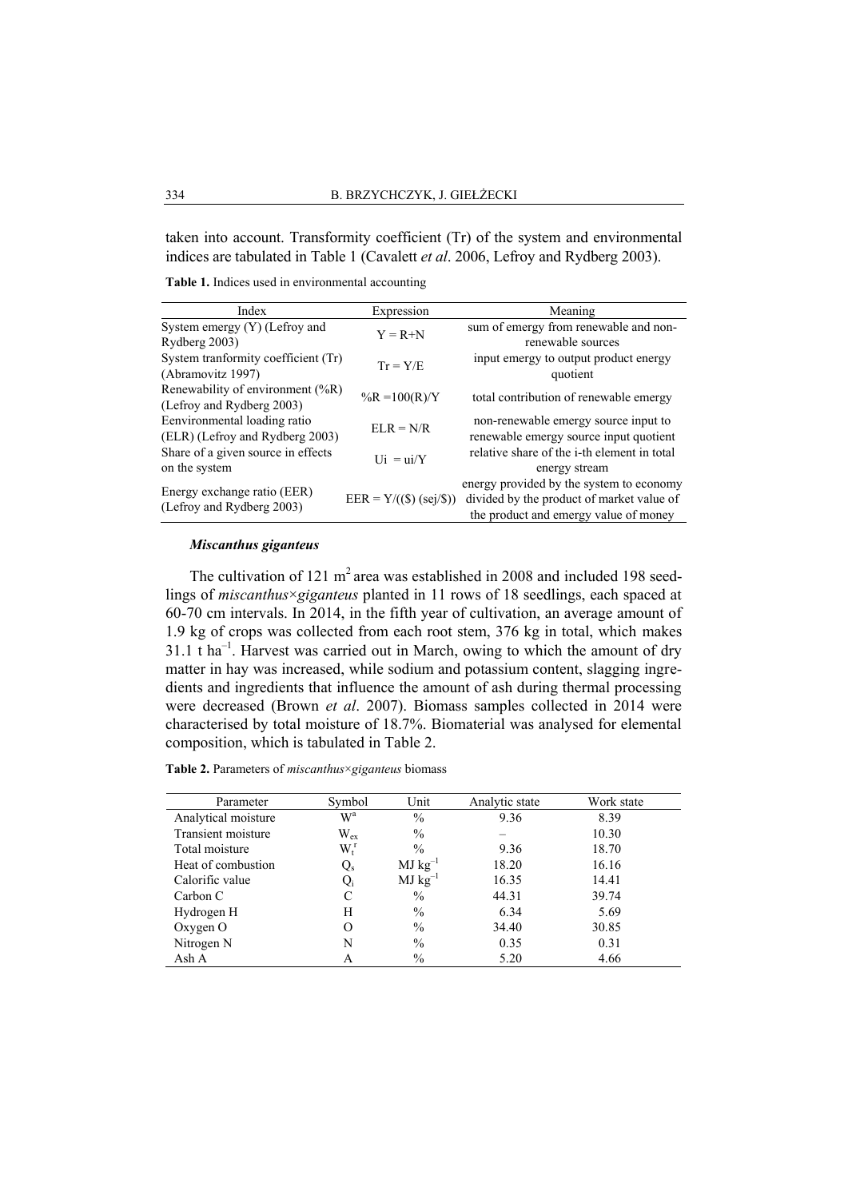taken into account. Transformity coefficient (Tr) of the system and environmental indices are tabulated in Table 1 (Cavalett *et al*. 2006, Lefroy and Rydberg 2003).

**Table 1.** Indices used in environmental accounting

| Index                               | Expression                | Meaning                                     |  |
|-------------------------------------|---------------------------|---------------------------------------------|--|
| System emergy (Y) (Lefroy and       | $Y = R + N$               | sum of emergy from renewable and non-       |  |
| Rydberg 2003)                       |                           | renewable sources                           |  |
| System tranformity coefficient (Tr) | $Tr = Y/E$                | input emergy to output product energy       |  |
| (Abramovitz 1997)                   |                           | quotient                                    |  |
| Renewability of environment (%R)    | $\%R = 100(R)/Y$          | total contribution of renewable emergy      |  |
| (Lefroy and Rydberg 2003)           |                           |                                             |  |
| Eenvironmental loading ratio        | $ELR = N/R$               | non-renewable emergy source input to        |  |
| (ELR) (Lefroy and Rydberg 2003)     |                           | renewable emergy source input quotient      |  |
| Share of a given source in effects  | $Ui = ui/Y$               | relative share of the i-th element in total |  |
| on the system                       |                           | energy stream                               |  |
| Energy exchange ratio (EER)         |                           | energy provided by the system to economy    |  |
|                                     | $EER = Y/((\$) (sej/\$))$ | divided by the product of market value of   |  |
| (Lefroy and Rydberg 2003)           |                           | the product and emergy value of money       |  |

## *Miscanthus giganteus*

The cultivation of 121  $m^2$  area was established in 2008 and included 198 seedlings of *miscanthus*×*giganteus* planted in 11 rows of 18 seedlings, each spaced at 60-70 cm intervals. In 2014, in the fifth year of cultivation, an average amount of 1.9 kg of crops was collected from each root stem, 376 kg in total, which makes  $31.1$  t ha<sup>-1</sup>. Harvest was carried out in March, owing to which the amount of dry matter in hay was increased, while sodium and potassium content, slagging ingredients and ingredients that influence the amount of ash during thermal processing were decreased (Brown *et al*. 2007). Biomass samples collected in 2014 were characterised by total moisture of 18.7%. Biomaterial was analysed for elemental composition, which is tabulated in Table 2.

**Table 2.** Parameters of *miscanthus*×*giganteus* biomass

| Parameter           | Symbol                    | Unit          | Analytic state | Work state |
|---------------------|---------------------------|---------------|----------------|------------|
| Analytical moisture | $\mathrm{W}^{\mathrm{a}}$ | $\%$          | 9.36           | 8.39       |
| Transient moisture  | $\rm W_{ex}$              | $\%$          |                | 10.30      |
| Total moisture      | $W_t^r$                   | $\frac{0}{0}$ | 9.36           | 18.70      |
| Heat of combustion  | $Q_{\rm s}$               | $MJ kg^{-1}$  | 18.20          | 16.16      |
| Calorific value     | Q,                        | $MJ kg^{-1}$  | 16.35          | 14.41      |
| Carbon C            | C                         | $\%$          | 44.31          | 39.74      |
| Hydrogen H          | H                         | $\%$          | 6.34           | 5.69       |
| Oxygen $O$          | O                         | $\%$          | 34.40          | 30.85      |
| Nitrogen N          | N                         | $\%$          | 0.35           | 0.31       |
| Ash A               | A                         | $\%$          | 5.20           | 4.66       |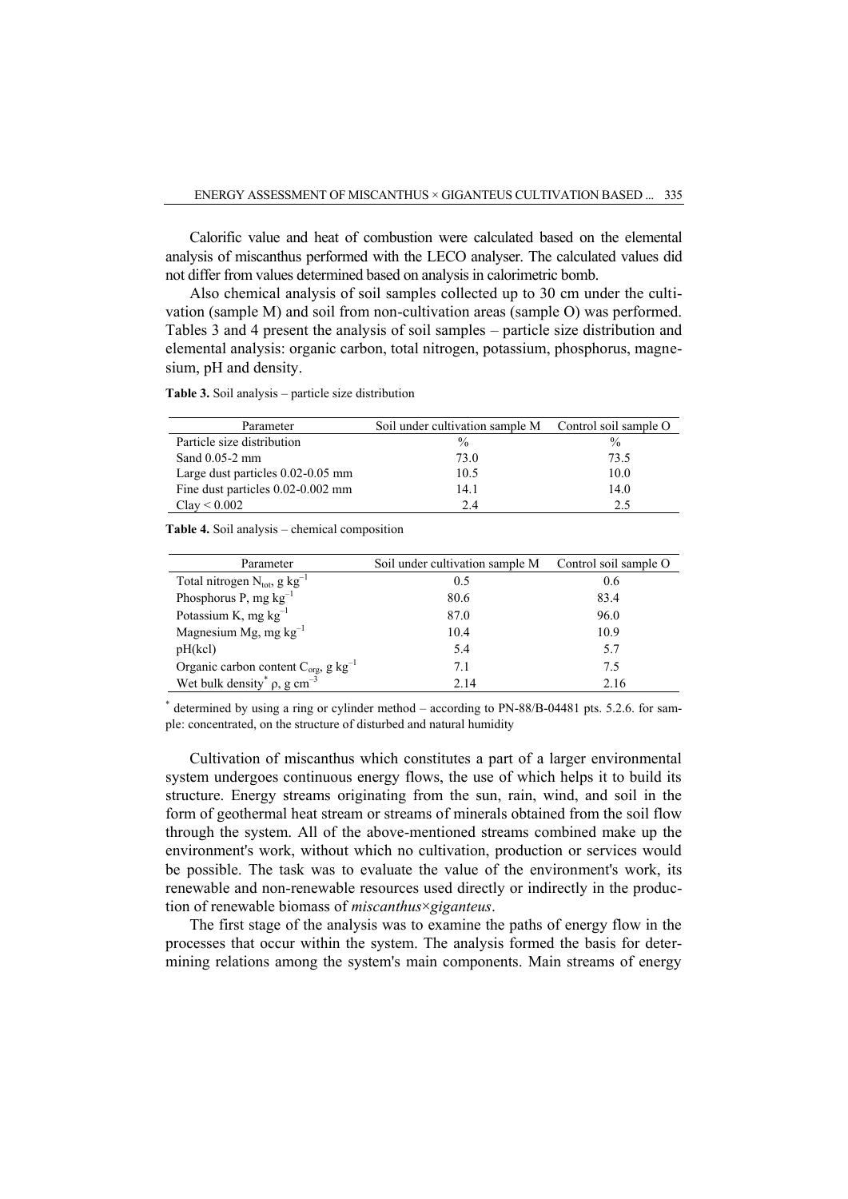Calorific value and heat of combustion were calculated based on the elemental analysis of miscanthus performed with the LECO analyser. The calculated values did not differ from values determined based on analysis in calorimetric bomb.

Also chemical analysis of soil samples collected up to 30 cm under the cultivation (sample M) and soil from non-cultivation areas (sample O) was performed. Tables 3 and 4 present the analysis of soil samples – particle size distribution and elemental analysis: organic carbon, total nitrogen, potassium, phosphorus, magnesium, pH and density.

**Table 3.** Soil analysis – particle size distribution

| Parameter                         | Soil under cultivation sample M Control soil sample O |               |
|-----------------------------------|-------------------------------------------------------|---------------|
| Particle size distribution        | $\frac{0}{0}$                                         | $\frac{0}{0}$ |
| Sand $0.05-2$ mm                  | 73.0                                                  | 73.5          |
| Large dust particles 0.02-0.05 mm | 10.5                                                  | 10.0          |
| Fine dust particles 0.02-0.002 mm | 14.1                                                  | 14.0          |
| $Clay \leq 0.002$                 | 2.4                                                   | 2.5           |

**Table 4.** Soil analysis – chemical composition

| Parameter                                                 | Soil under cultivation sample M | Control soil sample O |
|-----------------------------------------------------------|---------------------------------|-----------------------|
| Total nitrogen $N_{\text{tot}}$ , g kg <sup>-1</sup>      | 0.5                             | 0.6                   |
| Phosphorus P, mg $kg^{-1}$                                | 80.6                            | 83.4                  |
| Potassium K, mg $kg^{-1}$                                 | 87.0                            | 96.0                  |
| Magnesium Mg, mg $kg^{-1}$                                | 10.4                            | 10.9                  |
| pH(kcl)                                                   | 5.4                             | 5.7                   |
| Organic carbon content $C_{org}$ , g kg <sup>-1</sup>     | 7.1                             | 7.5                   |
| Wet bulk density <sup>*</sup> $\rho$ , g cm <sup>-3</sup> | 2.14                            | 2.16                  |

\* determined by using a ring or cylinder method – according to PN-88/B-04481 pts. 5.2.6. for sample: concentrated, on the structure of disturbed and natural humidity

Cultivation of miscanthus which constitutes a part of a larger environmental system undergoes continuous energy flows, the use of which helps it to build its structure. Energy streams originating from the sun, rain, wind, and soil in the form of geothermal heat stream or streams of minerals obtained from the soil flow through the system. All of the above-mentioned streams combined make up the environment's work, without which no cultivation, production or services would be possible. The task was to evaluate the value of the environment's work, its renewable and non-renewable resources used directly or indirectly in the production of renewable biomass of *miscanthus*×*giganteus*.

The first stage of the analysis was to examine the paths of energy flow in the processes that occur within the system. The analysis formed the basis for determining relations among the system's main components. Main streams of energy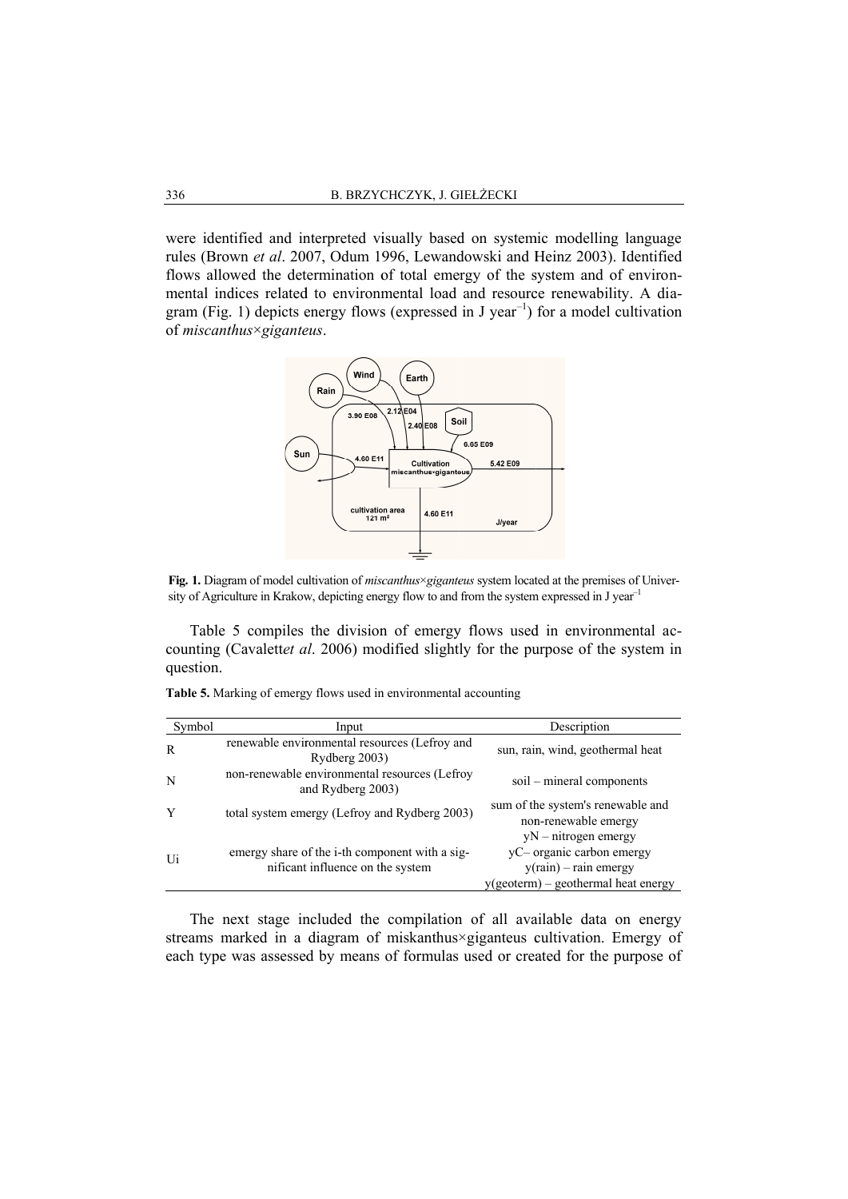were identified and interpreted visually based on systemic modelling language rules (Brown *et al*. 2007, Odum 1996, Lewandowski and Heinz 2003). Identified flows allowed the determination of total emergy of the system and of environmental indices related to environmental load and resource renewability. A diagram (Fig. 1) depicts energy flows (expressed in J year of *miscanthus* . I the determination of total emergy of the system and of enviror s related to environmental load and resource renewability. A difference renewability. A difference renewability. A difference renewability  $\times$ *giganteus*.  $\left( \begin{array}{c} -1 \\ 1 \end{array} \right)$  for a model cultivation



Fig. 1. Diagram of model cultivation of *miscanthus*×*giganteus* system located at the premises of University of Agriculture in Krakow, depicting energy flow to and from the system expressed in J year<sup>-1</sup>

Table 5 compiles the division of emergy flows used in environmental ac-Table 5 compiles the division of emergy flows used in environmental accounting (Cavaletter al. 2006) modified slightly for the purpose of the system in question.

**Table 5.** Marking of emergy flows used in environmental accounting

| Symbol | Input                                                                              | Description                                                                                                           |
|--------|------------------------------------------------------------------------------------|-----------------------------------------------------------------------------------------------------------------------|
| R      | renewable environmental resources (Lefroy and<br>Rydberg 2003)                     | sun, rain, wind, geothermal heat                                                                                      |
| N      | non-renewable environmental resources (Lefroy<br>and Rydberg 2003)                 | soil – mineral components                                                                                             |
| Y      | total system emergy (Lefroy and Rydberg 2003)                                      | sum of the system's renewable and<br>non-renewable emergy                                                             |
| Ui     | emergy share of the i-th component with a sig-<br>nificant influence on the system | $yN - nitrogen$ emergy<br>yC- organic carbon emergy<br>$y(rain) - rain$ emergy<br>y(geoterm) – geothermal heat energy |

The next stage included the compilation of all available data on energy The next stage included the compilation of all available data on energy streams marked in a diagram of miskanthus×giganteus cultivation. Emergy of each type was assessed by means of formulas used or created for the purpose of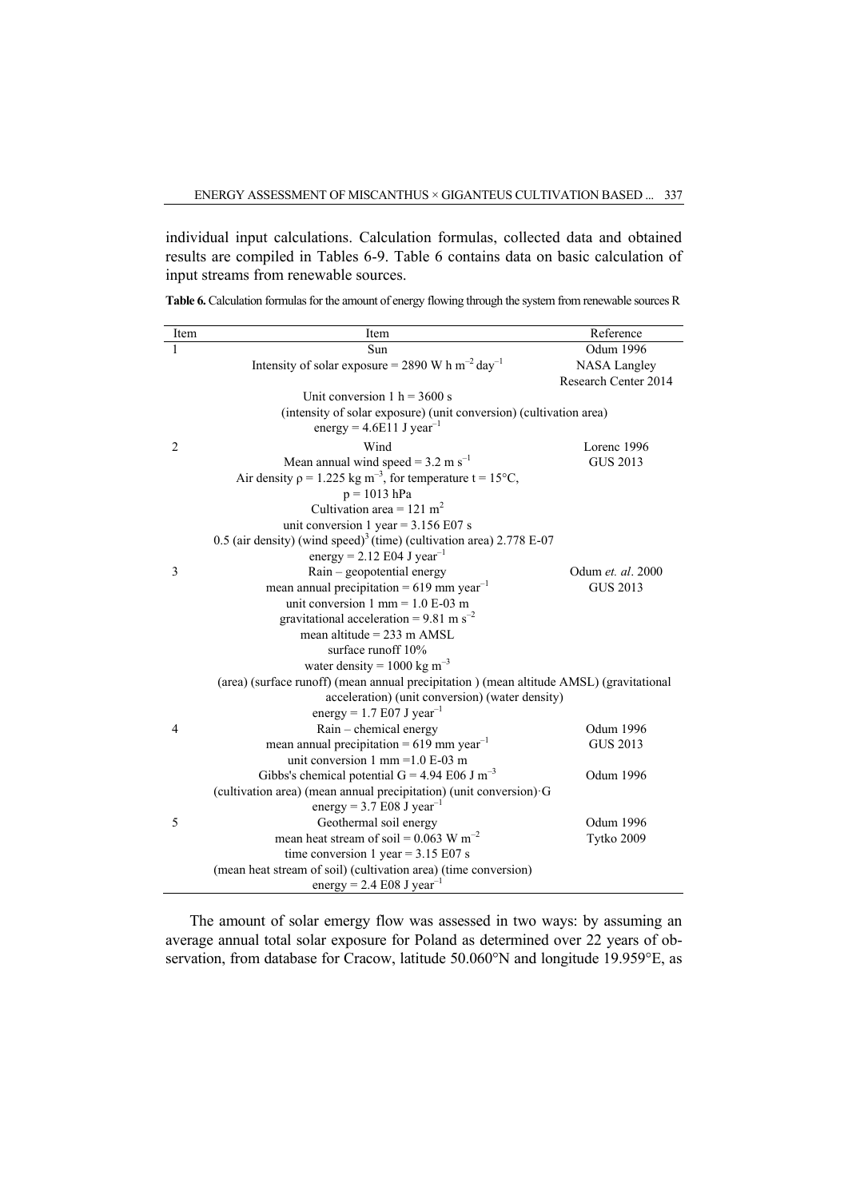individual input calculations. Calculation formulas, collected data and obtained results are compiled in Tables 6-9. Table 6 contains data on basic calculation of input streams from renewable sources.

| Item           | Item                                                                                    | Reference            |
|----------------|-----------------------------------------------------------------------------------------|----------------------|
| 1              | Sun                                                                                     | <b>Odum 1996</b>     |
|                | Intensity of solar exposure = 2890 W h m <sup>-2</sup> day <sup>-1</sup>                | <b>NASA Langley</b>  |
|                |                                                                                         | Research Center 2014 |
|                | Unit conversion $1 h = 3600 s$                                                          |                      |
|                | (intensity of solar exposure) (unit conversion) (cultivation area)                      |                      |
|                | energy = $4.6E11$ J year <sup>-1</sup>                                                  |                      |
| $\overline{2}$ | Wind                                                                                    | Lorenc 1996          |
|                | Mean annual wind speed = $3.2 \text{ m s}^{-1}$                                         | <b>GUS 2013</b>      |
|                | Air density $\rho = 1.225$ kg m <sup>-3</sup> , for temperature t = 15°C,               |                      |
|                | $p = 1013$ hPa                                                                          |                      |
|                | Cultivation area = $121 \text{ m}^2$                                                    |                      |
|                | unit conversion 1 year = $3.156$ E07 s                                                  |                      |
|                | 0.5 (air density) (wind speed) <sup>3</sup> (time) (cultivation area) 2.778 E-07        |                      |
|                | energy = 2.12 E04 J year <sup>-1</sup>                                                  |                      |
| 3              | Rain – geopotential energy                                                              | Odum et. al. 2000    |
|                | mean annual precipitation = $619$ mm year <sup>-1</sup>                                 | <b>GUS 2013</b>      |
|                | unit conversion $1 \text{ mm} = 1.0 \text{ E-}03 \text{ m}$                             |                      |
|                | gravitational acceleration = 9.81 m s <sup>-2</sup>                                     |                      |
|                | mean altitude = $233 \text{ m}$ AMSL                                                    |                      |
|                | surface runoff 10%                                                                      |                      |
|                | water density = $1000 \text{ kg m}^{-3}$                                                |                      |
|                | (area) (surface runoff) (mean annual precipitation) (mean altitude AMSL) (gravitational |                      |
|                | acceleration) (unit conversion) (water density)                                         |                      |
|                | energy = 1.7 E07 J year <sup>-1</sup>                                                   |                      |
| $\overline{4}$ | Rain - chemical energy                                                                  | <b>Odum 1996</b>     |
|                | mean annual precipitation = $619$ mm year <sup>-1</sup>                                 | <b>GUS 2013</b>      |
|                | unit conversion 1 mm = $1.0 E$ -03 m                                                    |                      |
|                | Gibbs's chemical potential G = 4.94 E06 J m <sup>-3</sup>                               | <b>Odum 1996</b>     |
|                | (cultivation area) (mean annual precipitation) (unit conversion) G                      |                      |
|                | energy = $3.7 E08$ J year <sup>-1</sup>                                                 |                      |
| 5              | Geothermal soil energy                                                                  | Odum 1996            |
|                | mean heat stream of soil = $0.063$ W m <sup>-2</sup>                                    | Tytko 2009           |
|                | time conversion 1 year = $3.15$ E07 s                                                   |                      |
|                | (mean heat stream of soil) (cultivation area) (time conversion)                         |                      |
|                | energy = $2.4 \text{ E08 J year}^{-1}$                                                  |                      |

**Table 6.** Calculation formulas for the amount of energy flowing through the system from renewable sources R

The amount of solar emergy flow was assessed in two ways: by assuming an average annual total solar exposure for Poland as determined over 22 years of observation, from database for Cracow, latitude 50.060°N and longitude 19.959°E, as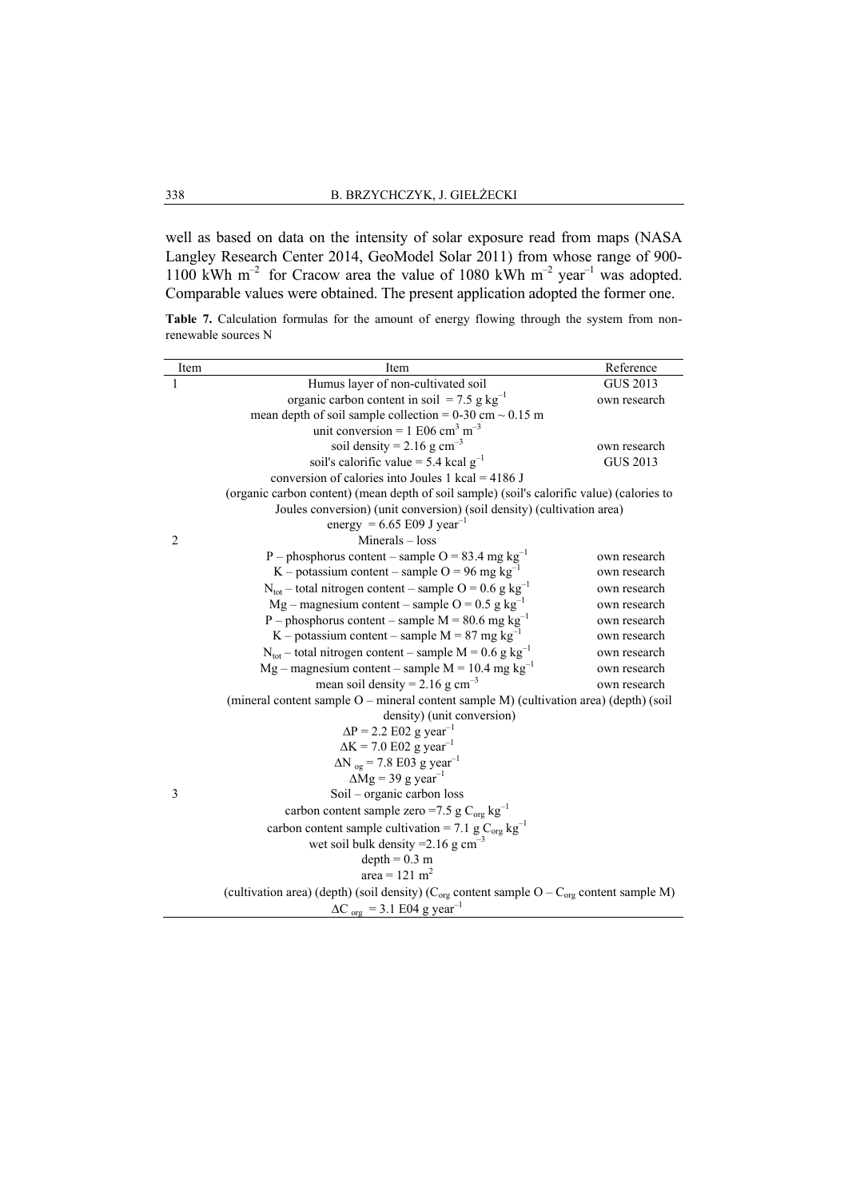well as based on data on the intensity of solar exposure read from maps (NASA Langley Research Center 2014, GeoModel Solar 2011) from whose range of 900- 1100 kWh m<sup>-2</sup> for Cracow area the value of 1080 kWh m<sup>-2</sup> year<sup>-1</sup> was adopted. Comparable values were obtained. The present application adopted the former one.

Table 7. Calculation formulas for the amount of energy flowing through the system from nonrenewable sources N

| Item           | Item                                                                                                 | Reference       |
|----------------|------------------------------------------------------------------------------------------------------|-----------------|
| 1              | Humus layer of non-cultivated soil                                                                   | <b>GUS 2013</b> |
|                | organic carbon content in soil = 7.5 g $kg^{-1}$                                                     | own research    |
|                | mean depth of soil sample collection = $0-30$ cm $\sim 0.15$ m                                       |                 |
|                | unit conversion = $1 E06 \text{ cm}^3 \text{ m}^{-3}$                                                |                 |
|                | soil density = $2.16$ g cm <sup>-3</sup>                                                             | own research    |
|                | soil's calorific value = 5.4 kcal $g^{-1}$                                                           | <b>GUS 2013</b> |
|                | conversion of calories into Joules 1 kcal = $4186$ J                                                 |                 |
|                | (organic carbon content) (mean depth of soil sample) (soil's calorific value) (calories to           |                 |
|                | Joules conversion) (unit conversion) (soil density) (cultivation area)                               |                 |
|                | energy = 6.65 E09 J year <sup>-1</sup>                                                               |                 |
| $\overline{2}$ | $Minerals - loss$                                                                                    |                 |
|                | P – phosphorus content – sample O = 83.4 mg $kg^{-1}$                                                | own research    |
|                | K – potassium content – sample O = 96 mg $kg^{-1}$                                                   | own research    |
|                | $N_{\text{tot}}$ – total nitrogen content – sample O = 0.6 g kg <sup>-1</sup>                        | own research    |
|                | Mg – magnesium content – sample O = 0.5 g $kg^{-1}$                                                  | own research    |
|                | P – phosphorus content – sample $M = 80.6$ mg kg <sup>-1</sup>                                       | own research    |
|                | K – potassium content – sample M = 87 mg $kg^{-1}$                                                   | own research    |
|                | $N_{\text{tot}}$ – total nitrogen content – sample M = 0.6 g kg <sup>-1</sup>                        | own research    |
|                | Mg – magnesium content – sample M = 10.4 mg $kg^{-1}$                                                | own research    |
|                | mean soil density = $2.16$ g cm <sup>-3</sup>                                                        | own research    |
|                | (mineral content sample O – mineral content sample M) (cultivation area) (depth) (soil               |                 |
|                | density) (unit conversion)                                                                           |                 |
|                | $\Delta P = 2.2$ E02 g year <sup>-1</sup>                                                            |                 |
|                | $\Delta K = 7.0$ E02 g year <sup>-1</sup>                                                            |                 |
|                | $\Delta N_{og}$ = 7.8 E03 g year <sup>-1</sup>                                                       |                 |
|                | $\Delta$ Mg = 39 g year <sup>-1</sup>                                                                |                 |
| 3              | Soil – organic carbon loss                                                                           |                 |
|                | carbon content sample zero =7.5 g $C_{org}$ kg <sup>-1</sup>                                         |                 |
|                | carbon content sample cultivation = 7.1 g $C_{org}$ kg <sup>-1</sup>                                 |                 |
|                | wet soil bulk density = $2.16$ g cm <sup>-3</sup>                                                    |                 |
|                | $depth = 0.3 m$                                                                                      |                 |
|                | area = 121 m <sup>2</sup>                                                                            |                 |
|                | (cultivation area) (depth) (soil density) ( $C_{org}$ content sample O – $C_{org}$ content sample M) |                 |
|                | $\Delta C_{org}$ = 3.1 E04 g year <sup>-1</sup>                                                      |                 |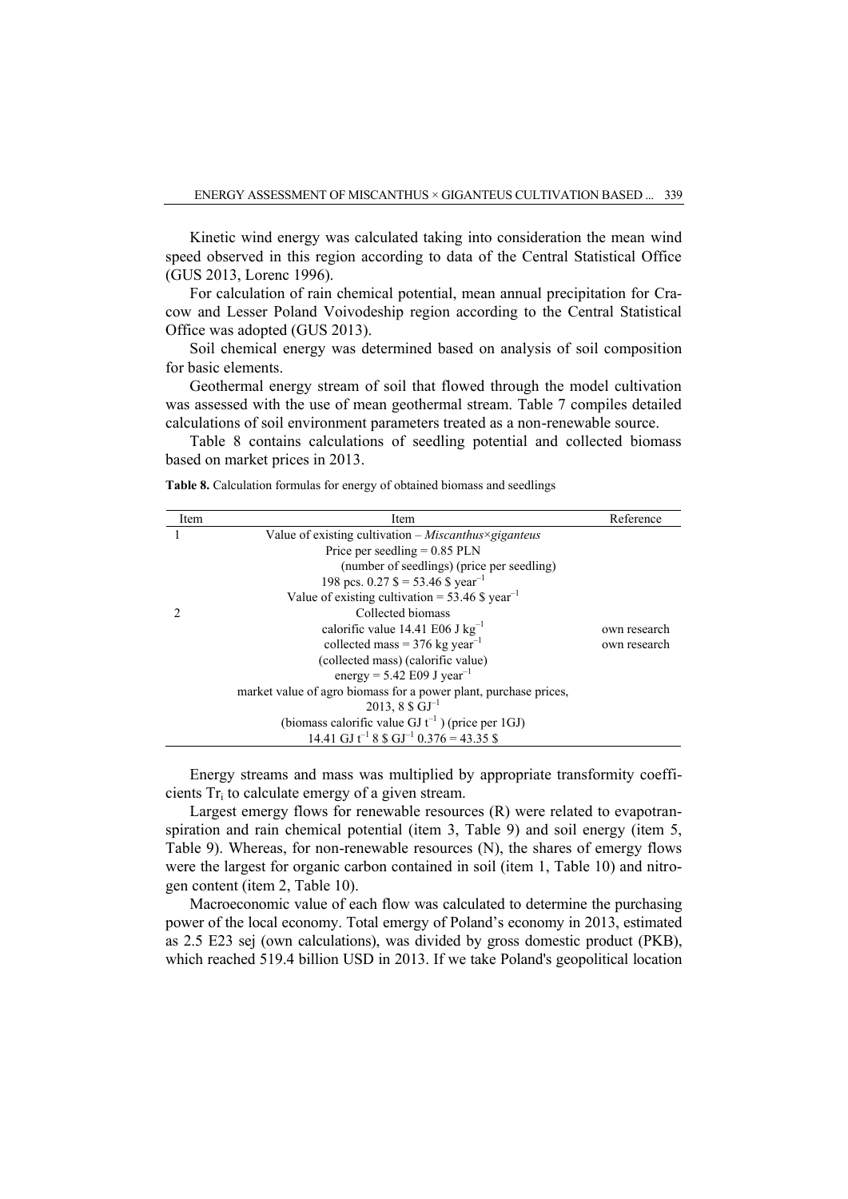Kinetic wind energy was calculated taking into consideration the mean wind speed observed in this region according to data of the Central Statistical Office (GUS 2013, Lorenc 1996).

For calculation of rain chemical potential, mean annual precipitation for Cracow and Lesser Poland Voivodeship region according to the Central Statistical Office was adopted (GUS 2013).

Soil chemical energy was determined based on analysis of soil composition for basic elements.

Geothermal energy stream of soil that flowed through the model cultivation was assessed with the use of mean geothermal stream. Table 7 compiles detailed calculations of soil environment parameters treated as a non-renewable source.

Table 8 contains calculations of seedling potential and collected biomass based on market prices in 2013.

| Item | Item                                                             | Reference    |
|------|------------------------------------------------------------------|--------------|
|      | Value of existing cultivation $-Miscanthus \times giganteus$     |              |
|      | Price per seedling $= 0.85$ PLN                                  |              |
|      | (number of seedlings) (price per seedling)                       |              |
|      | 198 pcs. $0.27$ \$ = 53.46 \$ year <sup>-1</sup>                 |              |
|      | Value of existing cultivation = $53.46$ \$ year <sup>-1</sup>    |              |
|      | Collected biomass                                                |              |
|      | calorific value 14.41 E06 J $kg^{-1}$                            | own research |
|      | collected mass = 376 kg year <sup>-1</sup>                       | own research |
|      | (collected mass) (calorific value)                               |              |
|      | energy = $5.42$ E09 J year <sup>-1</sup>                         |              |
|      | market value of agro biomass for a power plant, purchase prices, |              |
|      | $2013, 8 \text{ }\$ \text{ } GJ^{-1}$                            |              |
|      | (biomass calorific value GJ $t^{-1}$ ) (price per 1GJ)           |              |
|      | 14.41 GJ $t^{-1}$ 8 \$ GJ <sup>-1</sup> 0.376 = 43.35 \$         |              |

**Table 8.** Calculation formulas for energy of obtained biomass and seedlings

Energy streams and mass was multiplied by appropriate transformity coefficients Tr<sup>i</sup> to calculate emergy of a given stream.

Largest emergy flows for renewable resources (R) were related to evapotranspiration and rain chemical potential (item 3, Table 9) and soil energy (item 5, Table 9). Whereas, for non-renewable resources (N), the shares of emergy flows were the largest for organic carbon contained in soil (item 1, Table 10) and nitrogen content (item 2, Table 10).

Macroeconomic value of each flow was calculated to determine the purchasing power of the local economy. Total emergy of Poland's economy in 2013, estimated as 2.5 E23 sej (own calculations), was divided by gross domestic product (PKB), which reached 519.4 billion USD in 2013. If we take Poland's geopolitical location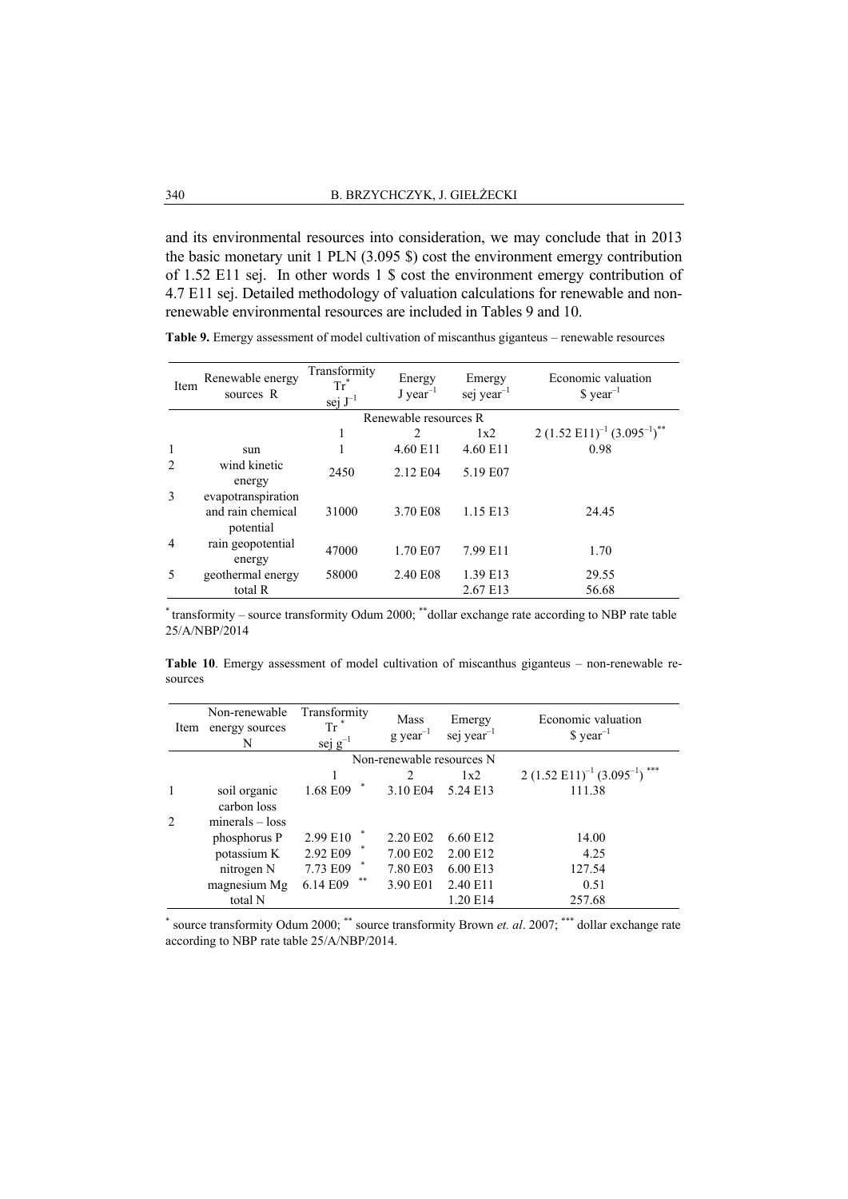and its environmental resources into consideration, we may conclude that in 2013 the basic monetary unit 1 PLN (3.095 \$) cost the environment emergy contribution of 1.52 E11 sej. In other words 1 \$ cost the environment emergy contribution of 4.7 E11 sej. Detailed methodology of valuation calculations for renewable and nonrenewable environmental resources are included in Tables 9 and 10.

| Item | Renewable energy<br>sources R                        | Transformity<br>Tr"<br>sej $J^{-1}$ | Energy<br>$J$ year <sup>-1</sup> | Emergy<br>sej year <sup>-1</sup> | Economic valuation<br>$\gamma$ year <sup>-1</sup> |
|------|------------------------------------------------------|-------------------------------------|----------------------------------|----------------------------------|---------------------------------------------------|
|      |                                                      |                                     | Renewable resources R            |                                  |                                                   |
|      |                                                      | 1                                   | 2                                | 1x2                              | 2 $(1.52 \text{ E}11)^{-1} (3.095^{-1})^{**}$     |
|      | sun                                                  |                                     | 4.60 E11                         | 4.60 E11                         | 0.98                                              |
| 2    | wind kinetic<br>energy                               | 2450                                | 2.12 E04                         | 5.19 E07                         |                                                   |
| 3    | evapotranspiration<br>and rain chemical<br>potential | 31000                               | 3.70 E08                         | 1.15 E13                         | 24.45                                             |
| 4    | rain geopotential<br>energy                          | 47000                               | 1.70 E07                         | 7.99 E11                         | 1.70                                              |
| 5    | geothermal energy                                    | 58000                               | 2.40 E08                         | 1.39 E13                         | 29.55                                             |
|      | total R                                              |                                     |                                  | 2.67 E13                         | 56.68                                             |

**Table 9.** Emergy assessment of model cultivation of miscanthus giganteus – renewable resources

\* transformity – source transformity Odum 2000; \*\*dollar exchange rate according to NBP rate table 25/A/NBP/2014

**Table 10**. Emergy assessment of model cultivation of miscanthus giganteus – non-renewable resources

| Item | Non-renewable<br>energy sources<br>N | Transformity<br>$\operatorname{Tr}^*$<br>sej $g^{-1}$ | Mass<br>$g \text{ year}^{-1}$ | Emergy<br>sej year $^{-1}$ | Economic valuation<br>$\gamma$ year <sup>-1</sup> |
|------|--------------------------------------|-------------------------------------------------------|-------------------------------|----------------------------|---------------------------------------------------|
|      |                                      |                                                       | Non-renewable resources N     |                            |                                                   |
|      |                                      |                                                       |                               | 1x2                        | $2(1.52 \text{ E}11)^{-1}(3.095^{-1})$ ***        |
| 1    | soil organic                         | 1.68 E09                                              | 3.10 E04                      | 5.24 E13                   | 111.38                                            |
|      | carbon loss                          |                                                       |                               |                            |                                                   |
| 2    | $minerals - loss$                    |                                                       |                               |                            |                                                   |
|      | phosphorus P                         | 2.99 E10                                              | 2.20 E02                      | 6.60 E12                   | 14.00                                             |
|      | potassium K                          | 2.92 E09                                              | 7.00 E02                      | 2.00 E12                   | 4.25                                              |
|      | nitrogen N                           | 7.73 E09                                              | 7.80 E03                      | 6.00 E13                   | 127.54                                            |
|      | magnesium Mg                         | **<br>6.14 E09                                        | 3.90 E01                      | 2.40 E11                   | 0.51                                              |
|      | total N                              |                                                       |                               | 1.20 E14                   | 257.68                                            |

\* source transformity Odum 2000; \*\* source transformity Brown *et. al*. 2007; \*\*\* dollar exchange rate according to NBP rate table 25/A/NBP/2014.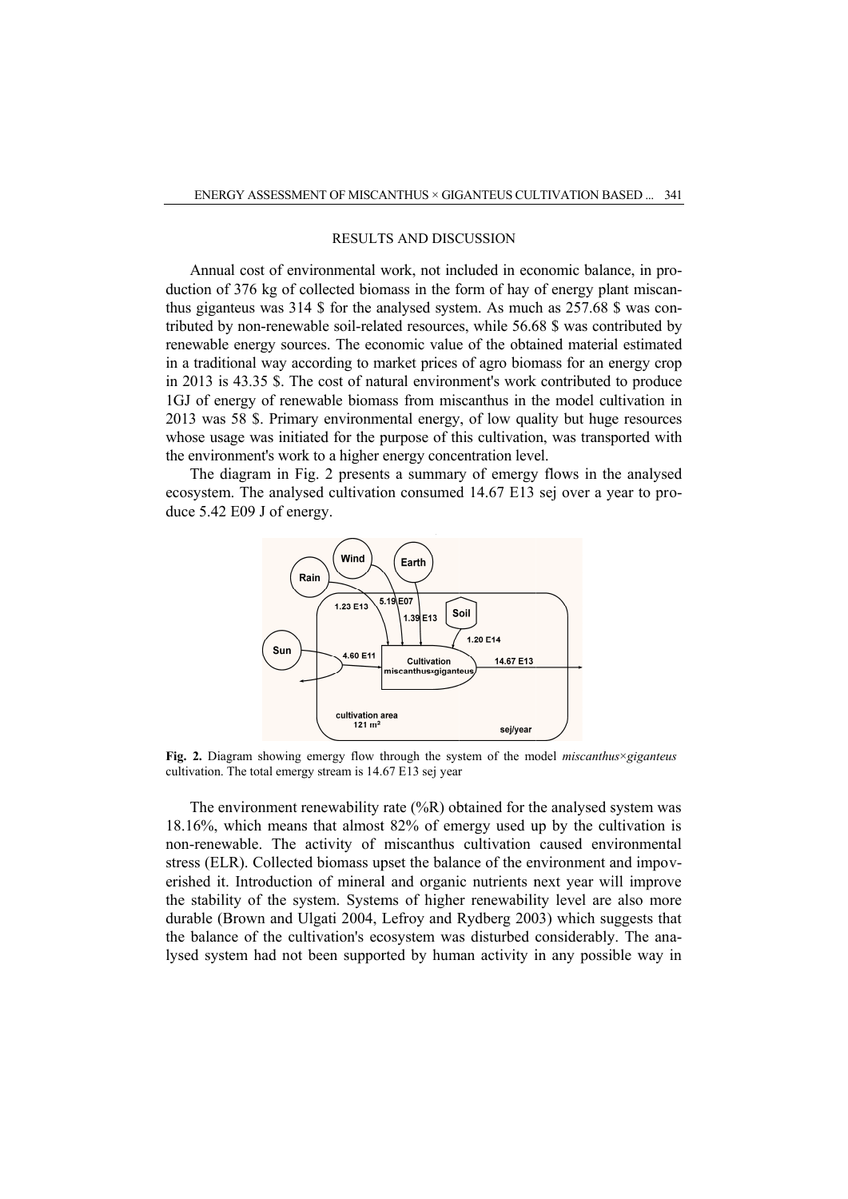#### RESULTS AND DISCUSSI DISCUSSION

Annual cost of environmental work, not included in economic balance, in pro-Annual cost of environmental work, not included in economic balance, in production of 376 kg of collected biomass in the form of hay of energy plant miscanthus giganteus was 314 \$ for the analysed system. As much as 257.68 \$ was conthus giganteus was 314 \$ for the analysed system. As much as 257.68 \$ was contributed by non-renewable soil-related resources, while 56.68 \$ was contributed by renewable energy sources. The economic value of the obtained material estimated in a traditional way according to market prices of agro biomass for an energy crop in 2013 is 43.35 \$. The cost of natural environment's work contributed to produce 1GJ of energy of renewable biomass from miscanthus in the model cultivation in 2013 was 58 \$. Primary environmental energy, of low quality but huge resources whose usage was initiated for the purpose of this cultivation, was transported with the environment's work to a higher energy concentration level. a traditional way according to market prices of agro biomass for an ene 2013 is 43.35 \$. The cost of natural environment's work contributed to iJ of energy of renewable biomass from miscanthus in the model cultiver 13 was related resources, while<br>economic value of the<br>o market prices of agro<br>`natural environment's v<br>omass from miscanthus GIGANTEUS CULTIVATION BASED.<br>
ISCUSSION<br>
included in economic balance, in<br>
e form of hay of energy plant mis<br>
ystem. As much as 257.68 \$ was<br>
crees, while 56.68 \$ was contributed<br>
the of the obtained material estin<br>
conven related resources, while 56.68 \$ was contributed by<br>economic value of the obtained material estimated<br>o market prices of agro biomass for an energy crop<br>`natural environment's work contributed to produce<br>omass from miscant

The diagram in Fig. 2 presents a summary of emergy flows in the analysed ecosystem. The analysed cultivation consumed 14.67 E13 sej over a year to pr duce 5.42 E09 J of energy.



**Fig. 2.** Diagram showing emergy flow through the system of the model *miscanthus*×*giganteus* Fig. 2. Diagram showing emergy flow through the sys-<br>cultivation. The total emergy stream is 14.67 E13 sej year

The environment renewability rate (%R) obtained for the analysed system was 18.16%, which means that almost 82% of emergy used up by the cultivation is non-renewable. The activity of miscanthus cultivation caused environmental stress (ELR). Collected biomass upset the balance of the environment and impoverished it. Introduction of mineral and organic nutrients next year will improve the stability of the system. Systems of higher renewability level are also more durable (Brown and Ulgati 2004, Lefroy and Rydberg 2003) which suggests that durable (Brown and Ulgati 2004, Lefroy and Rydberg 2003) which suggests that the balance of the cultivation's ecosystem was disturbed considerably. The analysed system had not been supported by human activity in any possible way in The environment renewability rate (%R) obtained for the analysed system was 18.16%, which means that almost 82% of emergy used up by the cultivation is non-renewable. The activity of miscanthus cultivation caused environme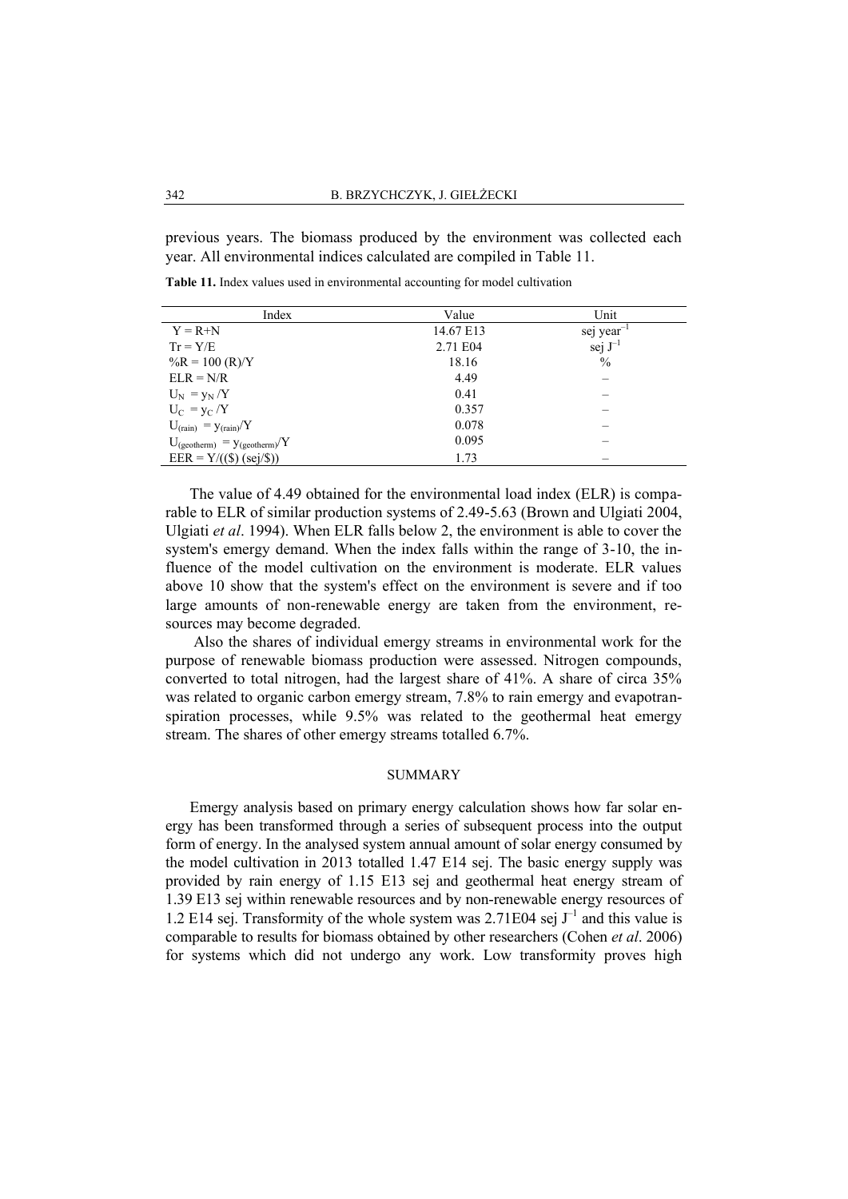previous years. The biomass produced by the environment was collected each year. All environmental indices calculated are compiled in Table 11.

**Table 11.** Index values used in environmental accounting for model cultivation

| Index                               | Value     | Unit                   |
|-------------------------------------|-----------|------------------------|
| $Y = R + N$                         | 14.67 E13 | sej year <sup>-1</sup> |
| $Tr = Y/E$                          | 2.71 E04  | sej $J^{-1}$           |
| $\%R = 100 \ (R)/Y$                 | 18.16     | $\%$                   |
| $ELR = N/R$                         | 4.49      |                        |
| $U_N = v_N/Y$                       | 0.41      |                        |
| $U_C = y_C/Y$                       | 0.357     |                        |
| $U_{(rain)} = y_{(rain)}/Y$         | 0.078     |                        |
| $U_{(geotherm)} = y_{(geotherm)}/Y$ | 0.095     |                        |
| $EER = Y/((\$) (sej/\$))$           | 1.73      |                        |

The value of 4.49 obtained for the environmental load index (ELR) is comparable to ELR of similar production systems of 2.49-5.63 (Brown and Ulgiati 2004, Ulgiati *et al*. 1994). When ELR falls below 2, the environment is able to cover the system's emergy demand. When the index falls within the range of 3-10, the influence of the model cultivation on the environment is moderate. ELR values above 10 show that the system's effect on the environment is severe and if too large amounts of non-renewable energy are taken from the environment, resources may become degraded.

Also the shares of individual emergy streams in environmental work for the purpose of renewable biomass production were assessed. Nitrogen compounds, converted to total nitrogen, had the largest share of 41%. A share of circa 35% was related to organic carbon emergy stream, 7.8% to rain emergy and evapotranspiration processes, while 9.5% was related to the geothermal heat emergy stream. The shares of other emergy streams totalled 6.7%.

#### SUMMARY

Emergy analysis based on primary energy calculation shows how far solar energy has been transformed through a series of subsequent process into the output form of energy. In the analysed system annual amount of solar energy consumed by the model cultivation in 2013 totalled 1.47 E14 sej. The basic energy supply was provided by rain energy of 1.15 E13 sej and geothermal heat energy stream of 1.39 E13 sej within renewable resources and by non-renewable energy resources of 1.2 E14 sej. Transformity of the whole system was 2.71E04 sej  $J^{-1}$  and this value is comparable to results for biomass obtained by other researchers (Cohen *et al*. 2006) for systems which did not undergo any work. Low transformity proves high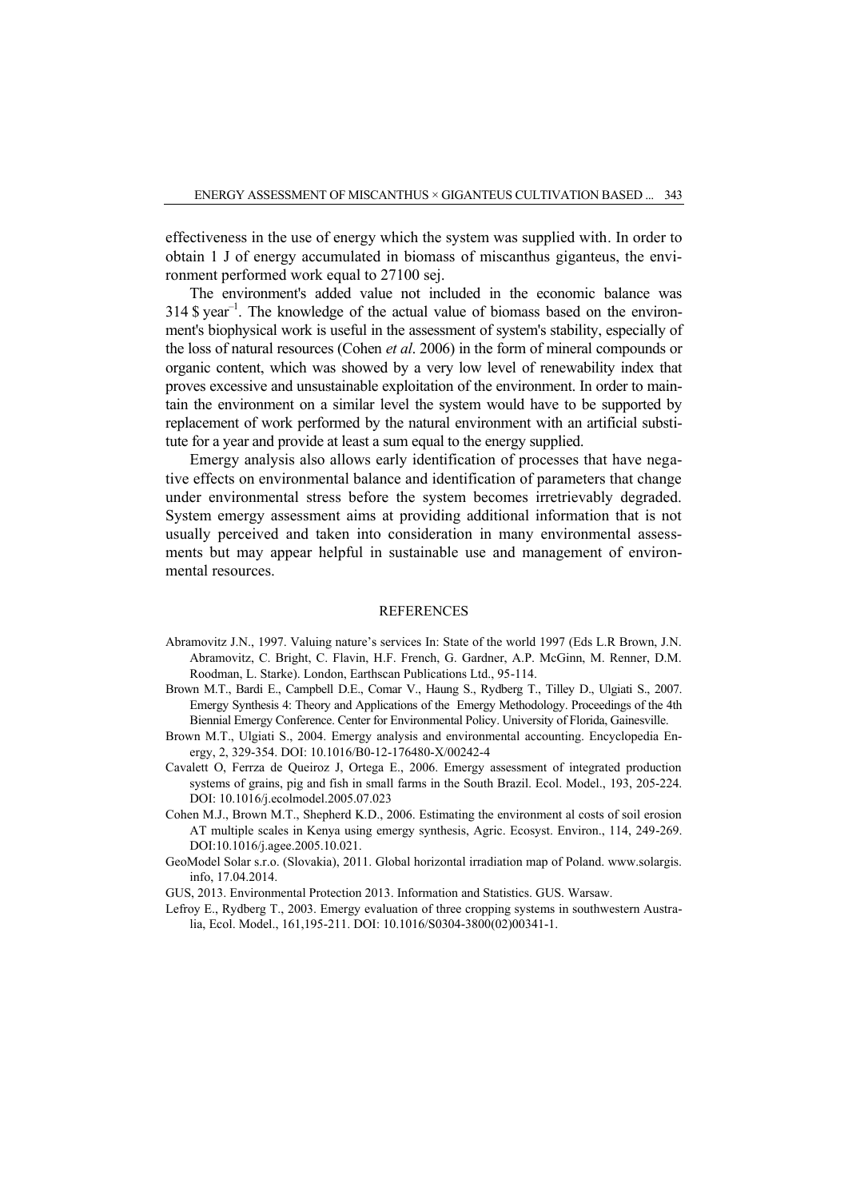effectiveness in the use of energy which the system was supplied with. In order to obtain 1 J of energy accumulated in biomass of miscanthus giganteus, the environment performed work equal to 27100 sej.

The environment's added value not included in the economic balance was  $314$  \$ year<sup>-1</sup>. The knowledge of the actual value of biomass based on the environment's biophysical work is useful in the assessment of system's stability, especially of the loss of natural resources (Cohen *et al*. 2006) in the form of mineral compounds or organic content, which was showed by a very low level of renewability index that proves excessive and unsustainable exploitation of the environment. In order to maintain the environment on a similar level the system would have to be supported by replacement of work performed by the natural environment with an artificial substitute for a year and provide at least a sum equal to the energy supplied.

Emergy analysis also allows early identification of processes that have negative effects on environmental balance and identification of parameters that change under environmental stress before the system becomes irretrievably degraded. System emergy assessment aims at providing additional information that is not usually perceived and taken into consideration in many environmental assessments but may appear helpful in sustainable use and management of environmental resources.

## REFERENCES

- Abramovitz J.N., 1997. Valuing nature's services In: State of the world 1997 (Eds L.R Brown, J.N. Abramovitz, C. Bright, C. Flavin, H.F. French, G. Gardner, A.P. McGinn, M. Renner, D.M. Roodman, L. Starke). London, Earthscan Publications Ltd., 95-114.
- Brown M.T., Bardi E., Campbell D.E., Comar V., Haung S., Rydberg T., Tilley D., Ulgiati S., 2007. Emergy Synthesis 4: Theory and Applications of the Emergy Methodology. Proceedings of the 4th Biennial Emergy Conference. Center for Environmental Policy. University of Florida, Gainesville.
- Brown M.T., Ulgiati S., 2004. Emergy analysis and environmental accounting. Encyclopedia Energy, 2, 329-354. DOI: 10.1016/B0-12-176480-X/00242-4
- Cavalett O, Ferrza de Queiroz J, Ortega E., 2006. Emergy assessment of integrated production systems of grains, pig and fish in small farms in the South Brazil. Ecol. Model., 193, 205-224. DOI: 10.1016/j.ecolmodel.2005.07.023
- Cohen M.J., Brown M.T., Shepherd K.D., 2006. Estimating the environment al costs of soil erosion AT multiple scales in Kenya using emergy synthesis, Agric. Ecosyst. Environ., 114, 249-269. DOI:10.1016/j.agee.2005.10.021.
- GeoModel Solar s.r.o. (Slovakia), 2011. Global horizontal irradiation map of Poland. www.solargis. info, 17.04.2014.

GUS, 2013. Environmental Protection 2013. Information and Statistics. GUS. Warsaw.

Lefroy E., Rydberg T., 2003. Emergy evaluation of three cropping systems in southwestern Australia, Ecol. Model., 161,195-211. DOI: 10.1016/S0304-3800(02)00341-1.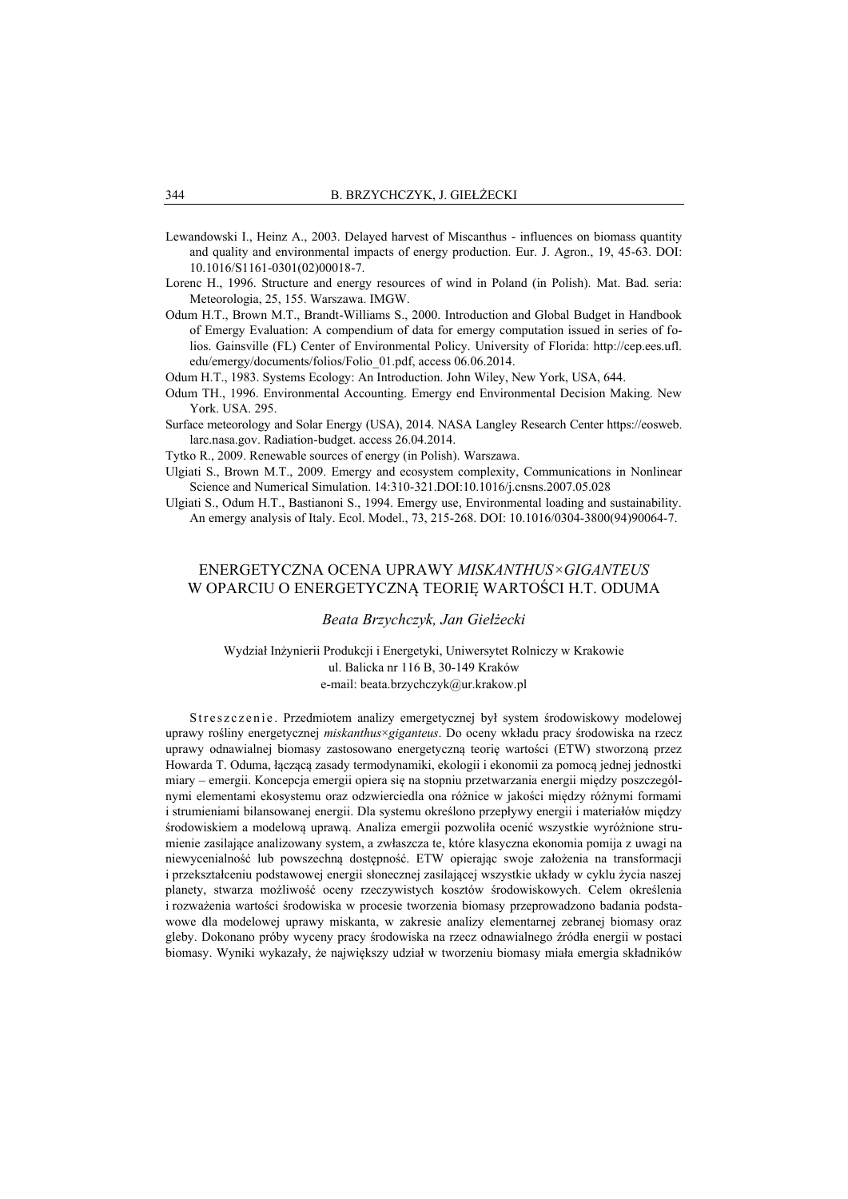- Lewandowski I., Heinz A., 2003. Delayed harvest of Miscanthus influences on biomass quantity and quality and environmental impacts of energy production. Eur. J. Agron., 19, 45-63. DOI: 10.1016/S1161-0301(02)00018-7.
- Lorenc H., 1996. Structure and energy resources of wind in Poland (in Polish). Mat. Bad. seria: Meteorologia, 25, 155. Warszawa. IMGW.
- Odum H.T., Brown M.T., Brandt-Williams S., 2000. Introduction and Global Budget in Handbook of Emergy Evaluation: A compendium of data for emergy computation issued in series of folios. Gainsville (FL) Center of Environmental Policy. University of Florida: http://cep.ees.ufl. edu/emergy/documents/folios/Folio\_01.pdf, access 06.06.2014.
- Odum H.T., 1983. Systems Ecology: An Introduction. John Wiley, New York, USA, 644.
- Odum TH., 1996. Environmental Accounting. Emergy end Environmental Decision Making. New York. USA. 295.
- Surface meteorology and Solar Energy (USA), 2014. NASA Langley Research Center https://eosweb. larc.nasa.gov. Radiation-budget. access 26.04.2014.
- Tytko R., 2009. Renewable sources of energy (in Polish). Warszawa.
- Ulgiati S., Brown M.T., 2009. Emergy and ecosystem complexity, Communications in Nonlinear Science and Numerical Simulation. 14:310-321.DOI:10.1016/j.cnsns.2007.05.028
- Ulgiati S., Odum H.T., Bastianoni S., 1994. Emergy use, Environmental loading and sustainability. An emergy analysis of Italy. Ecol. Model., 73, 215-268. DOI: 10.1016/0304-3800(94)90064-7.

# ENERGETYCZNA OCENA UPRAWY *MISKANTHUS×GIGANTEUS* W OPARCIU O ENERGETYCZNĄ TEORIĘ WARTOŚCI H.T. ODUMA

## *Beata Brzychczyk, Jan Giełżecki*

Wydział Inżynierii Produkcji i Energetyki, Uniwersytet Rolniczy w Krakowie ul. Balicka nr 116 B, 30-149 Kraków e-mail: beata.brzychczyk@ur.krakow.pl

Streszczenie. Przedmiotem analizy emergetycznej był system środowiskowy modelowej uprawy rośliny energetycznej *miskanthus*×*giganteus*. Do oceny wkładu pracy środowiska na rzecz uprawy odnawialnej biomasy zastosowano energetyczną teorię wartości (ETW) stworzoną przez Howarda T. Oduma, łączącą zasady termodynamiki, ekologii i ekonomii za pomocą jednej jednostki miary – emergii. Koncepcja emergii opiera się na stopniu przetwarzania energii między poszczególnymi elementami ekosystemu oraz odzwierciedla ona różnice w jakości między różnymi formami i strumieniami bilansowanej energii. Dla systemu określono przepływy energii i materiałów między środowiskiem a modelową uprawą. Analiza emergii pozwoliła ocenić wszystkie wyróżnione strumienie zasilające analizowany system, a zwłaszcza te, które klasyczna ekonomia pomija z uwagi na niewycenialność lub powszechną dostępność. ETW opierając swoje założenia na transformacji i przekształceniu podstawowej energii słonecznej zasilającej wszystkie układy w cyklu życia naszej planety, stwarza możliwość oceny rzeczywistych kosztów środowiskowych. Celem określenia i rozważenia wartości środowiska w procesie tworzenia biomasy przeprowadzono badania podstawowe dla modelowej uprawy miskanta, w zakresie analizy elementarnej zebranej biomasy oraz gleby. Dokonano próby wyceny pracy środowiska na rzecz odnawialnego źródła energii w postaci biomasy. Wyniki wykazały, że największy udział w tworzeniu biomasy miała emergia składników